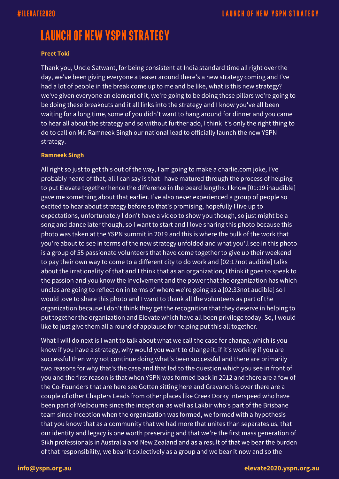### **Preet Toki**

Thank you, Uncle Satwant, for being consistent at India standard time all right over the day, we've been giving everyone a teaser around there's a new strategy coming and I've had a lot of people in the break come up to me and be like, what is this new strategy? we've given everyone an element of it, we're going to be doing these pillars we're going to be doing these breakouts and it all links into the strategy and I know you've all been waiting for a long time, some of you didn't want to hang around for dinner and you came to hear all about the strategy and so without further ado, I think it's only the right thing to do to call on Mr. Ramneek Singh our national lead to officially launch the new YSPN strategy.

### **Ramneek Singh**

All right so just to get this out of the way, I am going to make a charlie.com joke, I've probably heard of that, all I can say is that I have matured through the process of helping to put Elevate together hence the difference in the beard lengths. I know [01:19 inaudible] gave me something about that earlier. I've also never experienced a group of people so excited to hear about strategy before so that's promising, hopefully I live up to expectations, unfortunately I don't have a video to show you though, so just might be a song and dance later though, so I want to start and I love sharing this photo because this photo was taken at the YSPN summit in 2019 and this is where the bulk of the work that you're about to see in terms of the new strategy unfolded and what you'll see in this photo is a group of 55 passionate volunteers that have come together to give up their weekend to pay their own way to come to a different city to do work and [02:17not audible] talks about the irrationality of that and I think that as an organization, I think it goes to speak to the passion and you know the involvement and the power that the organization has which uncles are going to reflect on in terms of where we're going as a [02:33not audible] so I would love to share this photo and I want to thank all the volunteers as part of the organization because I don't think they get the recognition that they deserve in helping to put together the organization and Elevate which have all been privilege today. So, I would like to just give them all a round of applause for helping put this all together.

What I will do next is I want to talk about what we call the case for change, which is you know if you have a strategy, why would you want to change it, if it's working if you are successful then why not continue doing what's been successful and there are primarily two reasons for why that's the case and that led to the question which you see in front of you and the first reason is that when YSPN was formed back in 2012 and there are a few of the Co-Founders that are here see Gotten sitting here and Gravanch is over there are a couple of other Chapters Leads from other places like Creek Dorky Interspeed who have been part of Melbourne since the inception as well as Lakbir who's part of the Brisbane team since inception when the organization was formed, we formed with a hypothesis that you know that as a community that we had more that unites than separates us, that our identity and legacy is one worth preserving and that we're the first mass generation of Sikh professionals in Australia and New Zealand and as a result of that we bear the burden of that responsibility, we bear it collectively as a group and we bear it now and so the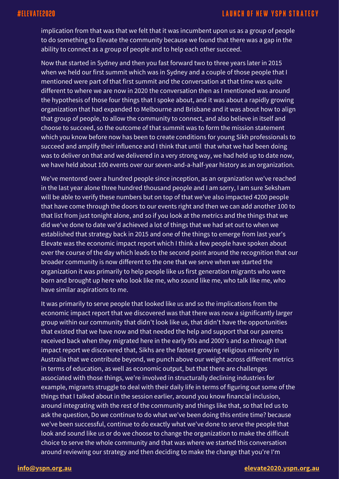## #ELEVATE2020

## **LAUNCH OF NEW YSPN STRATEGY**

implication from that was that we felt that it was incumbent upon us as a group of people to do something to Elevate the community because we found that there was a gap in the ability to connect as a group of people and to help each other succeed.

Now that started in Sydney and then you fast forward two to three years later in 2015 when we held our first summit which was in Sydney and a couple of those people that I mentioned were part of that first summit and the conversation at that time was quite different to where we are now in 2020 the conversation then as I mentioned was around the hypothesis of those four things that I spoke about, and it was about a rapidly growing organization that had expanded to Melbourne and Brisbane and it was about how to align that group of people, to allow the community to connect, and also believe in itself and choose to succeed, so the outcome of that summit was to form the mission statement which you know before now has been to create conditions for young Sikh professionals to succeed and amplify their influence and I think that until that what we had been doing was to deliver on that and we delivered in a very strong way, we had held up to date now, we have held about 100 events over our seven-and-a-half-year history as an organization.

We've mentored over a hundred people since inception, as an organization we've reached in the last year alone three hundred thousand people and I am sorry, I am sure Seksham will be able to verify these numbers but on top of that we've also impacted 4200 people that have come through the doors to our events right and then we can add another 100 to that list from just tonight alone, and so if you look at the metrics and the things that we did we've done to date we'd achieved a lot of things that we had set out to when we established that strategy back in 2015 and one of the things to emerge from last year's Elevate was the economic impact report which I think a few people have spoken about over the course of the day which leads to the second point around the recognition that our broader community is now different to the one that we serve when we started the organization it was primarily to help people like us first generation migrants who were born and brought up here who look like me, who sound like me, who talk like me, who have similar aspirations to me.

It was primarily to serve people that looked like us and so the implications from the economic impact report that we discovered was that there was now a significantly larger group within our community that didn't look like us, that didn't have the opportunities that existed that we have now and that needed the help and support that our parents received back when they migrated here in the early 90s and 2000's and so through that impact report we discovered that, Sikhs are the fastest growing religious minority in Australia that we contribute beyond, we punch above our weight across different metrics in terms of education, as well as economic output, but that there are challenges associated with those things, we're involved in structurally declining industries for example, migrants struggle to deal with their daily life in terms of figuring out some of the things that I talked about in the session earlier, around you know financial inclusion, around integrating with the rest of the community and things like that, so that led us to ask the question, Do we continue to do what we've been doing this entire time? because we've been successful, continue to do exactly what we've done to serve the people that look and sound like us or do we choose to change the organization to make the difficult choice to serve the whole community and that was where we started this conversation around reviewing our strategy and then deciding to make the change that you're I'm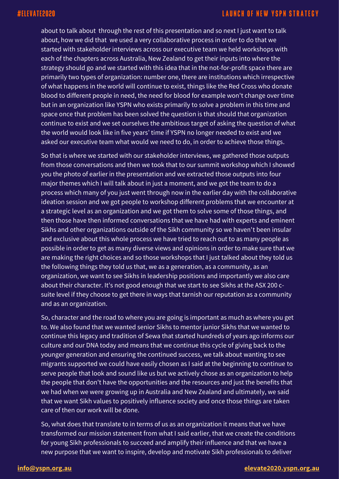about to talk about through the rest of this presentation and so next I just want to talk about, how we did that we used a very collaborative process in order to do that we started with stakeholder interviews across our executive team we held workshops with each of the chapters across Australia, New Zealand to get their inputs into where the strategy should go and we started with this idea that in the not-for-profit space there are primarily two types of organization: number one, there are institutions which irrespective of what happens in the world will continue to exist, things like the Red Cross who donate blood to different people in need, the need for blood for example won't change over time but in an organization like YSPN who exists primarily to solve a problem in this time and space once that problem has been solved the question is that should that organization continue to exist and we set ourselves the ambitious target of asking the question of what the world would look like in five years' time if YSPN no longer needed to exist and we asked our executive team what would we need to do, in order to achieve those things.

So that is where we started with our stakeholder interviews, we gathered those outputs from those conversations and then we took that to our summit workshop which I showed you the photo of earlier in the presentation and we extracted those outputs into four major themes which I will talk about in just a moment, and we got the team to do a process which many of you just went through now in the earlier day with the collaborative ideation session and we got people to workshop different problems that we encounter at a strategic level as an organization and we got them to solve some of those things, and then those have then informed conversations that we have had with experts and eminent Sikhs and other organizations outside of the Sikh community so we haven't been insular and exclusive about this whole process we have tried to reach out to as many people as possible in order to get as many diverse views and opinions in order to make sure that we are making the right choices and so those workshops that I just talked about they told us the following things they told us that, we as a generation, as a community, as an organization, we want to see Sikhs in leadership positions and importantly we also care about their character. It's not good enough that we start to see Sikhs at the ASX 200 csuite level if they choose to get there in ways that tarnish our reputation as a community and as an organization.

So, character and the road to where you are going is important as much as where you get to. We also found that we wanted senior Sikhs to mentor junior Sikhs that we wanted to continue this legacy and tradition of Sewa that started hundreds of years ago informs our culture and our DNA today and means that we continue this cycle of giving back to the younger generation and ensuring the continued success, we talk about wanting to see migrants supported we could have easily chosen as I said at the beginning to continue to serve people that look and sound like us but we actively chose as an organization to help the people that don't have the opportunities and the resources and just the benefits that we had when we were growing up in Australia and New Zealand and ultimately, we said that we want Sikh values to positively influence society and once those things are taken care of then our work will be done.

So, what does that translate to in terms of us as an organization it means that we have transformed our mission statement from what I said earlier, that we create the conditions for young Sikh professionals to succeed and amplify their influence and that we have a new purpose that we want to inspire, develop and motivate Sikh professionals to deliver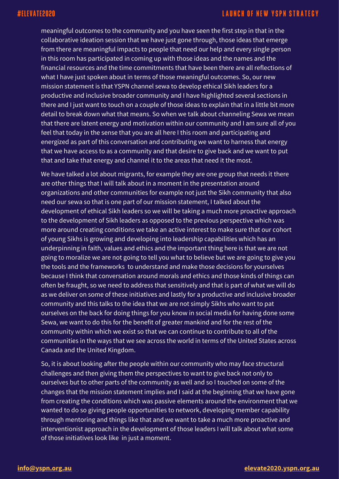meaningful outcomes to the community and you have seen the first step in that in the collaborative ideation session that we have just gone through, those ideas that emerge from there are meaningful impacts to people that need our help and every single person in this room has participated in coming up with those ideas and the names and the financial resources and the time commitments that have been there are all reflections of what I have just spoken about in terms of those meaningful outcomes. So, our new mission statement is that YSPN channel sewa to develop ethical Sikh leaders for a productive and inclusive broader community and I have highlighted several sections in there and I just want to touch on a couple of those ideas to explain that in a little bit more detail to break down what that means. So when we talk about channeling Sewa we mean that there are latent energy and motivation within our community and I am sure all of you feel that today in the sense that you are all here I this room and participating and energized as part of this conversation and contributing we want to harness that energy that we have access to as a community and that desire to give back and we want to put that and take that energy and channel it to the areas that need it the most.

We have talked a lot about migrants, for example they are one group that needs it there are other things that I will talk about in a moment in the presentation around organizations and other communities for example not just the Sikh community that also need our sewa so that is one part of our mission statement, I talked about the development of ethical Sikh leaders so we will be taking a much more proactive approach to the development of Sikh leaders as opposed to the previous perspective which was more around creating conditions we take an active interest to make sure that our cohort of young Sikhs is growing and developing into leadership capabilities which has an underpinning in faith, values and ethics and the important thing here is that we are not going to moralize we are not going to tell you what to believe but we are going to give you the tools and the frameworks to understand and make those decisions for yourselves because I think that conversation around morals and ethics and those kinds of things can often be fraught, so we need to address that sensitively and that is part of what we will do as we deliver on some of these initiatives and lastly for a productive and inclusive broader community and this talks to the idea that we are not simply Sikhs who want to pat ourselves on the back for doing things for you know in social media for having done some Sewa, we want to do this for the benefit of greater mankind and for the rest of the community within which we exist so that we can continue to contribute to all of the communities in the ways that we see across the world in terms of the United States across Canada and the United Kingdom.

So, it is about looking after the people within our community who may face structural challenges and then giving them the perspectives to want to give back not only to ourselves but to other parts of the community as well and so I touched on some of the changes that the mission statement implies and I said at the beginning that we have gone from creating the conditions which was passive elements around the environment that we wanted to do so giving people opportunities to network, developing member capability through mentoring and things like that and we want to take a much more proactive and interventionist approach in the development of those leaders I will talk about what some of those initiatives look like in just a moment.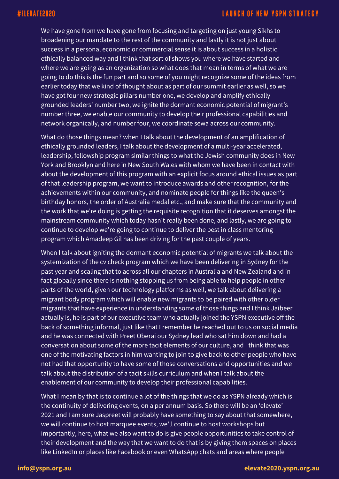We have gone from we have gone from focusing and targeting on just young Sikhs to broadening our mandate to the rest of the community and lastly it is not just about success in a personal economic or commercial sense it is about success in a holistic ethically balanced way and I think that sort of shows you where we have started and where we are going as an organization so what does that mean in terms of what we are going to do this is the fun part and so some of you might recognize some of the ideas from earlier today that we kind of thought about as part of our summit earlier as well, so we have got four new strategic pillars number one, we develop and amplify ethically grounded leaders' number two, we ignite the dormant economic potential of migrant's number three, we enable our community to develop their professional capabilities and network organically, and number four, we coordinate sewa across our community.

What do those things mean? when I talk about the development of an amplification of ethically grounded leaders, I talk about the development of a multi-year accelerated, leadership, fellowship program similar things to what the Jewish community does in New York and Brooklyn and here in New South Wales with whom we have been in contact with about the development of this program with an explicit focus around ethical issues as part of that leadership program, we want to introduce awards and other recognition, for the achievements within our community, and nominate people for things like the queen's birthday honors, the order of Australia medal etc., and make sure that the community and the work that we're doing is getting the requisite recognition that it deserves amongst the mainstream community which today hasn't really been done, and lastly, we are going to continue to develop we're going to continue to deliver the best in class mentoring program which Amadeep Gil has been driving for the past couple of years.

When I talk about igniting the dormant economic potential of migrants we talk about the systemization of the cv check program which we have been delivering in Sydney for the past year and scaling that to across all our chapters in Australia and New Zealand and in fact globally since there is nothing stopping us from being able to help people in other parts of the world, given our technology platforms as well, we talk about delivering a migrant body program which will enable new migrants to be paired with other older migrants that have experience in understanding some of those things and I think Jaibeer actually is, he is part of our executive team who actually joined the YSPN executive off the back of something informal, just like that I remember he reached out to us on social media and he was connected with Preet Oberai our Sydney lead who sat him down and had a conversation about some of the more tacit elements of our culture, and I think that was one of the motivating factors in him wanting to join to give back to other people who have not had that opportunity to have some of those conversations and opportunities and we talk about the distribution of a tacit skills curriculum and when I talk about the enablement of our community to develop their professional capabilities.

What I mean by that is to continue a lot of the things that we do as YSPN already which is the continuity of delivering events, on a per annum basis. So there will be an 'elevate' 2021 and I am sure Jaspreet will probably have something to say about that somewhere, we will continue to host marquee events, we'll continue to host workshops but importantly, here, what we also want to do is give people opportunities to take control of their development and the way that we want to do that is by giving them spaces on places like LinkedIn or places like Facebook or even WhatsApp chats and areas where people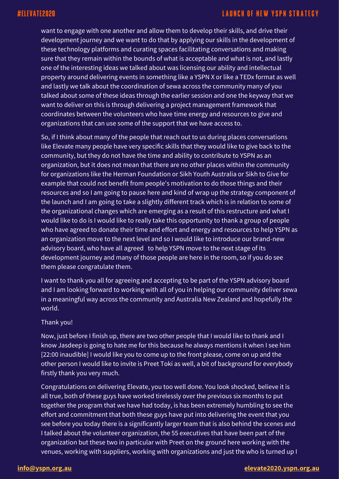want to engage with one another and allow them to develop their skills, and drive their development journey and we want to do that by applying our skills in the development of these technology platforms and curating spaces facilitating conversations and making sure that they remain within the bounds of what is acceptable and what is not, and lastly one of the interesting ideas we talked about was licensing our ability and intellectual property around delivering events in something like a YSPN X or like a TEDx format as well and lastly we talk about the coordination of sewa across the community many of you talked about some of these ideas through the earlier session and one the keyway that we want to deliver on this is through delivering a project management framework that coordinates between the volunteers who have time energy and resources to give and organizations that can use some of the support that we have access to.

So, if I think about many of the people that reach out to us during places conversations like Elevate many people have very specific skills that they would like to give back to the community, but they do not have the time and ability to contribute to YSPN as an organization, but it does not mean that there are no other places within the community for organizations like the Herman Foundation or Sikh Youth Australia or Sikh to Give for example that could not benefit from people's motivation to do those things and their resources and so I am going to pause here and kind of wrap up the strategy component of the launch and I am going to take a slightly different track which is in relation to some of the organizational changes which are emerging as a result of this restructure and what I would like to do is I would like to really take this opportunity to thank a group of people who have agreed to donate their time and effort and energy and resources to help YSPN as an organization move to the next level and so I would like to introduce our brand-new advisory board, who have all agreed to help YSPN move to the next stage of its development journey and many of those people are here in the room, so if you do see them please congratulate them.

I want to thank you all for agreeing and accepting to be part of the YSPN advisory board and I am looking forward to working with all of you in helping our community deliver sewa in a meaningful way across the community and Australia New Zealand and hopefully the world.

### Thank you!

Now, just before I finish up, there are two other people that I would like to thank and I know Jasdeep is going to hate me for this because he always mentions it when I see him [22:00 inaudible] I would like you to come up to the front please, come on up and the other person I would like to invite is Preet Toki as well, a bit of background for everybody firstly thank you very much.

Congratulations on delivering Elevate, you too well done. You look shocked, believe it is all true, both of these guys have worked tirelessly over the previous six months to put together the program that we have had today, is has been extremely humbling to see the effort and commitment that both these guys have put into delivering the event that you see before you today there is a significantly larger team that is also behind the scenes and I talked about the volunteer organization, the 55 executives that have been part of the organization but these two in particular with Preet on the ground here working with the venues, working with suppliers, working with organizations and just the who is turned up I